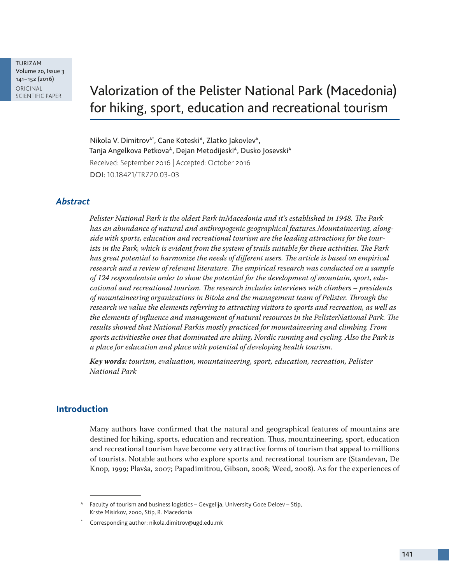TURIZAM Volume 20, Issue 3 141–152 (2016) ORIGINAL<br>SCIENTIFIC PAPER

# Valorization of the Pelister National Park (Macedonia) for hiking, sport, education and recreational tourism

Nikola V. Dimitrov<sup>A\*</sup>, Cane Koteski<sup>A</sup>, Zlatko Jakovlev<sup>A</sup>, Tanja Angelkova Petkova<sup>A</sup>, Dejan Metodijeski<sup>A</sup>, Dusko Josevski<sup>A</sup> Received: September 2016 | Accepted: October 2016 DOI: 10.18421/TRZ20.03-03

## *Abstract*

*Pelister National Park is the oldest Park inMacedonia and it's established in 1948. The Park has an abundance of natural and anthropogenic geographical features.Mountaineering, alongside with sports, education and recreational tourism are the leading attractions for the tourists in the Park, which is evident from the system of trails suitable for these activities. The Park*  has great potential to harmonize the needs of different users. The article is based on empirical *research and a review of relevant literature. The empirical research was conducted on a sample of 124 respondentsin order to show the potential for the development of mountain, sport, educational and recreational tourism. The research includes interviews with climbers – presidents of mountaineering organizations in Bitola and the management team of Pelister. Through the research we value the elements referring to attracting visitors to sports and recreation, as well as the elements of influence and management of natural resources in the PelisterNational Park. The results showed that National Parkis mostly practiced for mountaineering and climbing. From sports activitiesthe ones that dominated are skiing, Nordic running and cycling. Also the Park is a place for education and place with potential of developing health tourism.* 

*Key words: tourism, evaluation, mountaineering, sport, education, recreation, Pelister National Park*

## **Introduction**

Many authors have confirmed that the natural and geographical features of mountains are destined for hiking, sports, education and recreation. Thus, mountaineering, sport, education and recreational tourism have become very attractive forms of tourism that appeal to millions of tourists. Notable authors who explore sports and recreational tourism are (Standevan, De Knop, 1999; Plavša, 2007; Papadimitrou, Gibson, 2008; Weed, 2008). As for the experiences of

<sup>&</sup>lt;sup>A</sup> Faculty of tourism and business logistics - Gevgelija, University Goce Delcev - Stip, Krste Misirkov, 2000, Stip, R. Macedonia

Corresponding author: nikola.dimitrov@ugd.edu.mk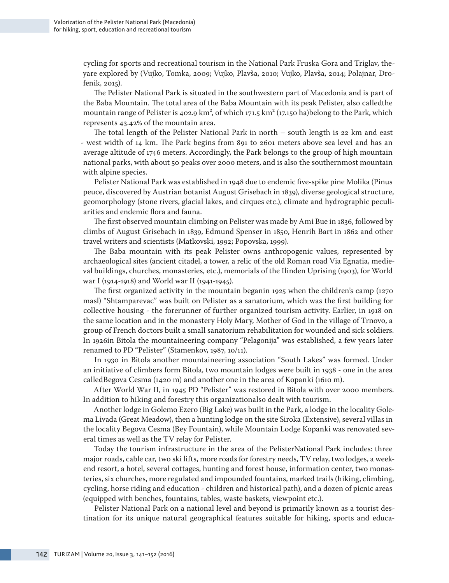cycling for sports and recreational tourism in the National Park Fruska Gora and Triglav, theyare explored by (Vujko, Tomka, 2009; Vujko, Plavša, 2010; Vujko, Plavša, 2014; Polajnar, Drofenik, 2015).

The Pelister National Park is situated in the southwestern part of Macedonia and is part of the Baba Mountain. The total area of the Baba Mountain with its peak Pelister, also calledthe mountain range of Pelister is 402.9 km<sup>2</sup>, of which 171.5 km<sup>2</sup> (17.150 ha)belong to the Park, which represents 43.42% of the mountain area.

The total length of the Pelister National Park in north – south length is 22 km and east - west width of 14 km. The Park begins from 891 to 2601 meters above sea level and has an average altitude of 1746 meters. Accordingly, the Park belongs to the group of high mountain national parks, with about 50 peaks over 2000 meters, and is also the southernmost mountain with alpine species.

Pelister National Park was established in 1948 due to endemic five-spike pine Molika (Pinus peuce, discovered by Austrian botanist August Grisebach in 1839), diverse geological structure, geomorphology (stone rivers, glacial lakes, and cirques etc.), climate and hydrographic peculiarities and endemic flora and fauna.

The first observed mountain climbing on Pelister was made by Ami Bue in 1836, followed by climbs of August Grisebach in 1839, Edmund Spenser in 1850, Henrih Bart in 1862 and other travel writers and scientists (Matkovski, 1992; Popovska, 1999).

The Baba mountain with its peak Pelister owns anthropogenic values, represented by archaeological sites (ancient citadel, a tower, a relic of the old Roman road Via Egnatia, medieval buildings, churches, monasteries, etc.), memorials of the Ilinden Uprising (1903), for World war I (1914-1918) and World war II (1941-1945).

The first organized activity in the mountain beganin 1925 when the children's camp (1270 masl) "Shtamparevac" was built on Pelister as a sanatorium, which was the first building for collective housing - the forerunner of further organized tourism activity. Earlier, in 1918 on the same location and in the monastery Holy Mary, Mother of God in the village of Trnovo, a group of French doctors built a small sanatorium rehabilitation for wounded and sick soldiers. In 1926in Bitola the mountaineering company "Pelagonija" was established, a few years later renamed to PD "Pelister" (Stamenkov, 1987, 10/11).

In 1930 in Bitola another mountaineering association "South Lakes" was formed. Under an initiative of climbers form Bitola, two mountain lodges were built in 1938 - one in the area calledBegova Cesma (1420 m) and another one in the area of Kopanki (1610 m).

After World War II, in 1945 PD "Pelister" was restored in Bitola with over 2000 members. In addition to hiking and forestry this organizationalso dealt with tourism.

Another lodge in Golemo Ezero (Big Lake) was built in the Park, a lodge in the locality Golema Livada (Great Meadow), then a hunting lodge on the site Siroka (Extensive), several villas in the locality Begova Cesma (Bey Fountain), while Mountain Lodge Kopanki was renovated several times as well as the TV relay for Pelister.

Today the tourism infrastructure in the area of the PelisterNational Park includes: three major roads, cable car, two ski lifts, more roads for forestry needs, TV relay, two lodges, a weekend resort, a hotel, several cottages, hunting and forest house, information center, two monasteries, six churches, more regulated and impounded fountains, marked trails (hiking, climbing, cycling, horse riding and education - children and historical path), and a dozen of picnic areas (equipped with benches, fountains, tables, waste baskets, viewpoint etc.).

Pelister National Park on a national level and beyond is primarily known as a tоurist destination for its unique natural geographical features suitable for hiking, sports and educa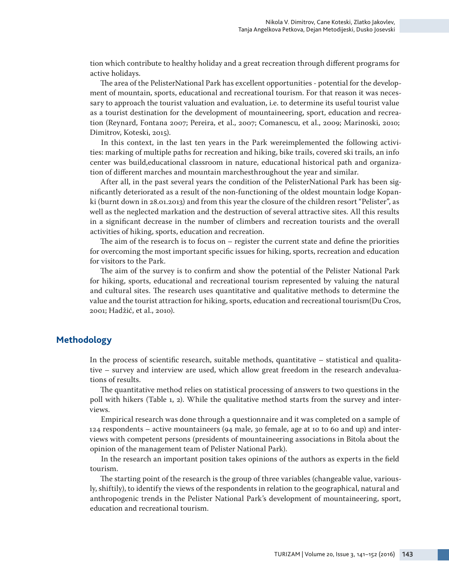tion which contribute to healthy holiday and a great recreation through different programs for active holidays.

The area of the PelisterNational Park has excellent opportunities - potential for the development of mountain, sports, educational and recreational tourism. For that reason it was necessary to approach the tourist valuation and evaluation, i.e. to determine its useful tourist value as a tourist destination for the development of mountaineering, sport, education and recreation (Reynard, Fontana 2007; Pereira, et al., 2007; Comanescu, et al., 2009; Marinoski, 2010; Dimitrov, Koteski, 2015).

In this context, in the last ten years in the Park wereimplemented the following activities: marking of multiple paths for recreation and hiking, bike trails, covered ski trails, an info center was build,educational classroom in nature, educational historical path and organization of different marches and mountain marchesthroughout the year and similar.

After all, in the past several years the condition of the PelisterNational Park has been significantly deteriorated as a result of the non-functioning of the oldest mountain lodge Kopanki (burnt down in 28.01.2013) and from this year the closure of the children resort "Pelister", as well as the neglected markation and the destruction of several attractive sites. All this results in a significant decrease in the number of climbers and recreation tourists and the overall activities of hiking, sports, education and recreation.

The aim of the research is to focus on – register the current state and define the priorities for overcoming the most important specific issues for hiking, sports, recreation and education for visitors to the Park.

The aim of the survey is to confirm and show the potential of the Pelister National Park for hiking, sports, educational and recreational tourism represented by valuing the natural and cultural sites. The research uses quantitative and qualitative methods to determine the value and the tourist attraction for hiking, sports, education and recreational tourism(Du Cros, 2001; Hadžić, et al., 2010).

# **Methodology**

In the process of scientific research, suitable methods, quantitative – statistical and qualitative – survey and interview are used, which allow great freedom in the research andevaluations of results.

The quantitative method relies on statistical processing of answers to two questions in the poll with hikers (Table 1, 2). While the qualitative method starts from the survey and interviews.

Empirical research was done through a questionnaire and it was completed on a sample of 124 respondents – active mountaineers (94 male, 30 female, age at 10 to 60 and up) and interviews with competent persons (presidents of mountaineering associations in Bitola about the opinion of the management team of Pelister National Park).

In the research an important position takes opinions of the authors as experts in the field tourism.

The starting point of the research is the group of three variables (changeable value, variously, shiftily), to identify the views of the respondents in relation to the geographical, natural and anthropogenic trends in the Pelister National Park's development of mountaineering, sport, education and recreational tourism.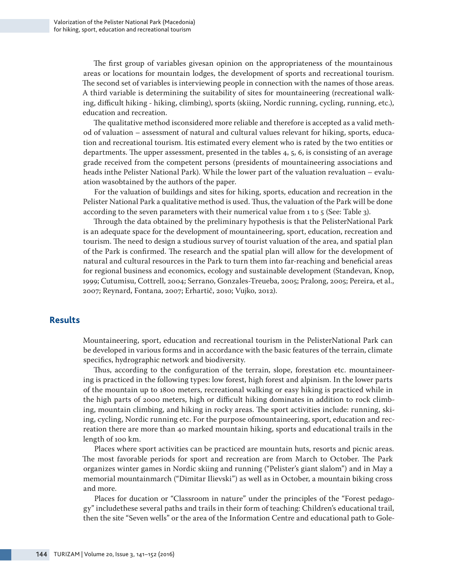The first group of variables givesan opinion on the appropriateness of the mountainous areas or locations for mountain lodges, the development of sports and recreational tourism. The second set of variables is interviewing people in connection with the names of those areas. A third variable is determining the suitability of sites for mountaineering (recreational walking, difficult hiking - hiking, climbing), sports (skiing, Nordic running, cycling, running, etc.), еducation and recreation.

The qualitative method isconsidered more reliable and therefore is accepted as a valid method of valuation – assessment of natural and cultural values relevant for hiking, sports, education and recreational tourism. Itis estimated every element who is rated by the two entities or departments. The upper assessment, presented in the tables 4, 5, 6, is consisting of an average grade received from the competent persons (presidents of mountaineering associations and heads inthe Pelister National Park). While the lower part of the valuation revaluation – evaluation wasobtained by the authors of the paper.

For the valuation of buildings and sites for hiking, sports, education and recreation in the Pelister National Park a qualitative method is used. Thus, the valuation of the Park will be done according to the seven parameters with their numerical value from 1 to 5 (See: Table 3).

Through the data obtained by the preliminary hypothesis is that the PelisterNational Park is an adequate space for the development of mountaineering, sport, education, recreation and tourism. The need to design a studious survey of tourist valuation of the area, and spatial plan of the Park is confirmed. The research and the spatial plan will allow for the development of natural and cultural resources in the Park to turn them into far-reaching and beneficial areas for regional business and economics, ecology and sustainable development (Standevan, Knop, 1999; Cutumisu, Cottrell, 2004; Serrano, Gonzales-Treueba, 2005; Pralong, 2005; Pereira, et al., 2007; Reynard, Fontana, 2007; Erhartič, 2010; Vujko, 2012).

## **Results**

Mountaineering, sport, education and recreational tourism in the PelisterNational Park can be developed in various forms and in accordance with the basic features of the terrain, climate specifics, hydrographic network and biodiversity.

Thus, according to the configuration of the terrain, slope, forestation etc. mountaineering is practiced in the following types: low forest, high forest and alpinism. In the lower parts of the mountain up to 1800 meters, recreational walking or easy hiking is practiced while in the high parts of 2000 meters, high or difficult hiking dominates in addition to rock climbing, mountain climbing, and hiking in rocky areas. The sport activities include: running, skiing, cycling, Nordic running etc. For the purpose ofmountaineering, sport, education and recreation there are more than 40 marked mountain hiking, sports and educational trails in the length of 100 km.

Places where sport activities can be practiced are mountain huts, resorts and picnic areas. The most favorable periods for sport and recreation are from March to October. The Park organizes winter games in Nordic skiing and running ("Pelister's giant slalom") and in May a memorial mountainmarch ("Dimitar Ilievski") as well as in October, a mountain biking cross and more.

Places for ducation or "Classroom in nature" under the principles of the "Forest pedagogy" includethese several paths and trails in their form of teaching: Children's educational trail, then the site "Seven wells" or the area of the Information Centre and educational path to Gole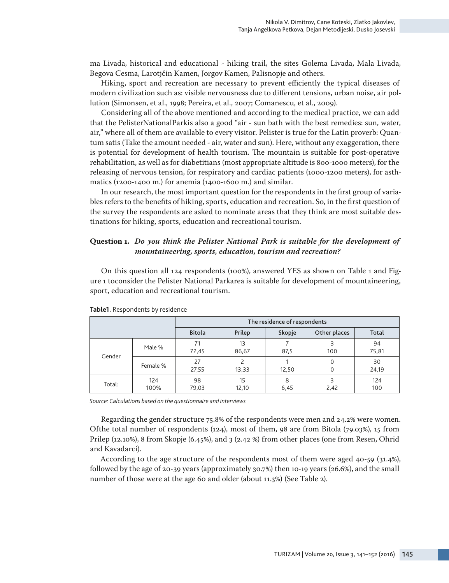ma Livada, historical and educational - hiking trail, the sites Golema Livada, Mala Livada, Begova Cesma, Larotjčin Kamen, Jorgov Kamen, Palisnopje and others.

Hiking, sport and recreation are necessary to prevent efficiently the typical diseases of modern civilization such as: visible nervousness due to different tensions, urban noise, air pollution (Simonsen, et al., 1998; Pereira, et al., 2007; Comanescu, et al., 2009).

Considering all of the above mentioned and according to the medical practice, we can add that the PelisterNationalParkis also a good "air - sun bath with the best remedies: sun, water, air," where all of them are available to every visitor. Pelister is true for the Latin proverb: Quantum satis (Take the amount needed - air, water and sun). Here, without any exaggeration, there is potential for development of health tourism. The mountain is suitable for post-operative rehabilitation, as well as for diabetitians (most appropriate altitude is 800-1000 meters), for the releasing of nervous tension, for respiratory and cardiac patients (1000-1200 meters), for asthmatics (1200-1400 m.) for anemia (1400-1600 m.) and similar.

In our research, the most important question for the respondents in the first group of variables refers to the benefits of hiking, sports, education and recreation. So, in the first question of the survey the respondents are asked to nominate areas that they think are most suitable destinations for hiking, sports, education and recreational tourism.

### **Question 1.** *Do you think the Pelister National Park is suitable for the development of mountaineering, sports, education, tourism and recreation?*

On this question all 124 respondents (100%), answered YES as shown on Table 1 and Figure 1 toconsider the Pelister National Parkarea is suitable for development of mountaineering, sport, education and recreational tourism.

|        |             | The residence of respondents |             |           |              |             |  |  |  |
|--------|-------------|------------------------------|-------------|-----------|--------------|-------------|--|--|--|
|        |             | <b>Bitola</b>                | Prilep      | Skopje    | Other places | Total       |  |  |  |
| Gender | Male %      | 71<br>72,45                  | 13<br>86,67 | 87,5      | 3<br>100     | 94<br>75,81 |  |  |  |
|        | Female %    | 27<br>27,55                  | 13,33       | 12,50     | 0<br>0       | 30<br>24,19 |  |  |  |
| Total: | 124<br>100% | 98<br>79,03                  | 15<br>12,10 | 8<br>6,45 | 3<br>2,42    | 124<br>100  |  |  |  |

**Тable1.** Respondents by residence

*Source: Calculations based on the questionnaire and interviews*

Regarding the gender structure 75.8% of the respondents were men and 24.2% were women. Ofthe total number of respondents (124), most of them, 98 are from Bitola (79.03%), 15 from Prilep (12.10%), 8 from Skopje (6.45%), and 3 (2.42 %) from other places (one from Resen, Ohrid and Kavadarci).

According to the age structure of the respondents most of them were aged 40-59 (31.4%), followed by the age of 20-39 years (approximately 30.7%) then 10-19 years (26.6%), and the small number of those were at the age 60 and older (about 11.3%) (See Table 2).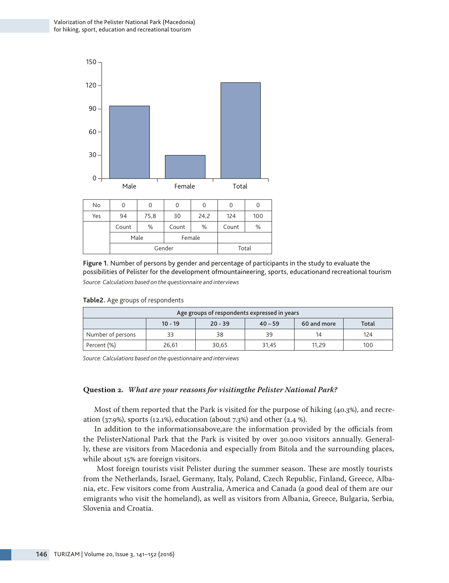

| No  | O          |      |       | U      |       |       |  |
|-----|------------|------|-------|--------|-------|-------|--|
| Yes | 94<br>75,8 |      | 30    | 24,2   | 124   | 100   |  |
|     | Count      | %    | Count | %      | Count | %     |  |
|     |            | Male |       | Female |       |       |  |
|     | Gender     |      |       |        |       | Total |  |

**Figure 1.** Number of persons by gender and percentage of participants in the study to evaluate the possibilities of Pelister for the development ofmountaineering, sports, educationand recreational tourism *Source: Calculations based on the questionnaire and interviews*

| Age groups of respondents expressed in years                |    |    |    |    |     |  |  |
|-------------------------------------------------------------|----|----|----|----|-----|--|--|
| Total<br>$20 - 39$<br>$10 - 19$<br>60 and more<br>$40 - 59$ |    |    |    |    |     |  |  |
| Number of persons                                           | 33 | 38 | 39 | 14 | 124 |  |  |
| Percent (%)<br>100<br>30,65<br>26,61<br>31,45<br>11.29      |    |    |    |    |     |  |  |

**Table2.** Age groups of respondents

*Source: Calculations based on the questionnaire and interviews*

#### **Question 2.** *What are your reasons for visitingthe Pelister National Park?*

Most of them reported that the Park is visited for the purpose of hiking (40.3%), and recreation (37.9%), sports (12.1%), education (about 7.3%) and other (2.4 %).

In addition to the informationsabove,are the information provided by the officials from the PelisterNational Park that the Park is visited by over 30.000 visitors annually. Generally, these are visitors from Macedonia and especially from Bitola and the surrounding places, while about 15% are foreign visitors.

 Most foreign tourists visit Pelister during the summer season. These are mostly tourists from the Netherlands, Israel, Germany, Italy, Poland, Czech Republic, Finland, Greece, Albania, etc. Few visitors come from Australia, America and Canada (a good deal of them are our emigrants who visit the homeland), as well as visitors from Albania, Greece, Bulgaria, Serbia, Slovenia and Croatia.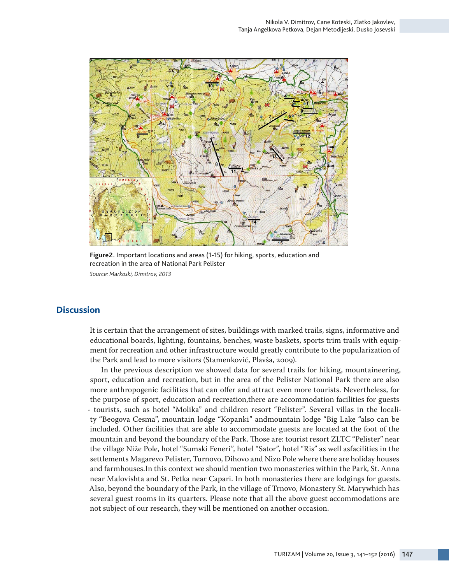

**Figure2.** Important locations and areas (1-15) for hiking, sports, education and recreation in the area of National Park Pelister *Source: Markoski, Dimitrov, 2013*

## **Discussion**

It is certain that the arrangement of sites, buildings with marked trails, signs, informative and educational boards, lighting, fountains, benches, waste baskets, sports trim trails with equipment for recreation and other infrastructure would greatly contribute to the popularization of the Park and lead to more visitors (Stamenković, Plavša, 2009).

In the previous description we showed data for several trails for hiking, mountaineering, sport, education and recreation, but in the area of the Pelister National Park there are also more anthropogenic facilities that can offer and attract even more tourists. Nevertheless, for the purpose of sport, education and recreation,there are accommodation facilities for guests - tourists, such as hotel "Molika" and children resort "Pelister". Several villas in the locality "Beogova Cesma", mountain lodge "Kopanki" andmountain lodge "Big Lake "also can be included. Other facilities that are able to accommodate guests are located at the foot of the mountain and beyond the boundary of the Park. Those are: tourist resort ZLTC "Pelister" near the village Niže Pole, hotel "Sumski Feneri", hotel "Sator", hotel "Ris" as well asfacilities in the settlements Magarevo Pelister, Turnovo, Dihovo and Nizo Pole where there are holiday houses and farmhouses.In this context we should mention two monasteries within the Park, St. Anna near Malovishta and St. Petka near Capari. In both monasteries there are lodgings for guests. Also, beyond the boundary of the Park, in the village of Trnovo, Monastery St. Мarywhich has several guest rooms in its quarters. Please note that all the above guest accommodations are not subject of our research, they will be mentioned on another occasion.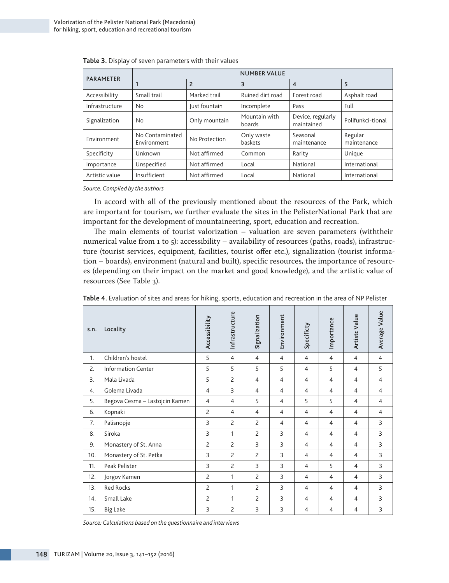| <b>PARAMETER</b> | <b>NUMBER VALUE</b>             |                |                         |                                 |                        |  |  |  |  |
|------------------|---------------------------------|----------------|-------------------------|---------------------------------|------------------------|--|--|--|--|
|                  |                                 | $\overline{2}$ | 3                       | 4                               | 5                      |  |  |  |  |
| Accessibility    | Small trail                     | Marked trail   | Ruined dirt road        | Forest road                     | Asphalt road           |  |  |  |  |
| Infrastructure   | N <sub>o</sub>                  | Just fountain  | Incomplete              | Pass                            | Full                   |  |  |  |  |
| Signalization    | Only mountain<br>N <sub>o</sub> |                | Mountain with<br>boards | Device, regularly<br>maintained | Polifunkci-tional      |  |  |  |  |
| Environment      | No Contaminated<br>Environment  | No Protection  | Only waste<br>baskets   | Seasonal<br>maintenance         | Regular<br>maintenance |  |  |  |  |
| Specificity      | Unknown                         | Not affirmed   | Common                  | Rarity                          | Unique                 |  |  |  |  |
| Importance       | Not affirmed<br>Unspecified     |                | Local                   | National                        | International          |  |  |  |  |
| Artistic value   | Insufficient                    | Not affirmed   | Local                   | National                        | International          |  |  |  |  |

*Source: Compiled by the authors*

In accord with all of the previously mentioned about the resources of the Park, which are important for tourism, we further evaluate the sites in the PelisterNational Park that are important for the development of mountaineering, sport, education and recreation.

The main elements of tourist valorization – valuation are seven parameters (withtheir numerical value from 1 to 5): accessibility – availability of resources (paths, roads), infrastructure (tourist services, equipment, facilities, tourist offer etc.), signalization (tourist information – boards), environment (natural and built), specific resources, the importance of resources (depending on their impact on the market and good knowledge), and the artistic value of resources (See Table 3).

| s.n. | Locality                       | Accessibility  | Infrastructure | Signalization  | Environment    | Specificty     | Importance     | Artistc Value  | Average Value  |
|------|--------------------------------|----------------|----------------|----------------|----------------|----------------|----------------|----------------|----------------|
| 1.   | Children's hostel              | 5              | $\overline{4}$ | $\overline{4}$ | $\overline{4}$ | $\overline{4}$ | $\overline{4}$ | $\overline{4}$ | $\overline{4}$ |
| 2.   | <b>Information Center</b>      | 5              | 5              | 5              | 5              | $\overline{4}$ | 5              | $\overline{4}$ | 5              |
| 3.   | Mala Livada                    | 5              | $\overline{c}$ | $\overline{4}$ | $\overline{4}$ | $\overline{4}$ | $\overline{4}$ | $\overline{4}$ | $\overline{4}$ |
| 4.   | Golema Livada                  | $\overline{4}$ | 3              | $\overline{4}$ | $\overline{4}$ | $\overline{4}$ | $\overline{4}$ | $\overline{4}$ | $\overline{4}$ |
| 5.   | Begova Cesma - Lastojcin Kamen | $\overline{4}$ | 4              | 5              | $\overline{4}$ | 5              | 5              | $\overline{4}$ | $\overline{4}$ |
| 6.   | Kopnaki                        | $\overline{c}$ | $\overline{4}$ | $\overline{4}$ | $\overline{4}$ | $\overline{4}$ | $\overline{4}$ | $\overline{4}$ | $\overline{4}$ |
| 7.   | Palisnopje                     | 3              | $\overline{c}$ | $\overline{c}$ | $\overline{4}$ | $\overline{4}$ | $\overline{4}$ | $\overline{4}$ | 3              |
| 8.   | Siroka                         | 3              | 1              | $\overline{c}$ | 3              | $\overline{4}$ | $\overline{4}$ | $\overline{4}$ | 3              |
| 9.   | Monastery of St. Anna          | 2              | $\overline{c}$ | 3              | 3              | $\overline{4}$ | $\overline{4}$ | $\overline{4}$ | 3              |
| 10.  | Monastery of St. Petka         | 3              | $\overline{c}$ | $\overline{c}$ | 3              | 4              | 4              | $\overline{4}$ | 3              |
| 11.  | Peak Pelister                  | 3              | $\overline{c}$ | 3              | 3              | 4              | 5              | 4              | 3              |
| 12.  | Jorgov Kamen                   | $\overline{c}$ | 1              | $\overline{2}$ | 3              | $\overline{4}$ | $\overline{4}$ | $\overline{4}$ | 3              |
| 13.  | <b>Red Rocks</b>               | $\overline{c}$ | 1              | $\overline{c}$ | 3              | 4              | 4              | $\overline{4}$ | 3              |
| 14.  | Small Lake                     | $\overline{c}$ | $\mathbf{1}$   | $\overline{c}$ | 3              | $\overline{4}$ | $\overline{4}$ | $\overline{4}$ | 3              |
| 15.  | <b>Big Lake</b>                | 3              | $\overline{c}$ | 3              | 3              | $\overline{4}$ | $\overline{4}$ | $\overline{4}$ | $\overline{3}$ |

**Table 4.** Evaluation of sites and areas for hiking, sports, education and recreation in the area of NP Pelister

*Source: Calculations based on the questionnaire and interviews*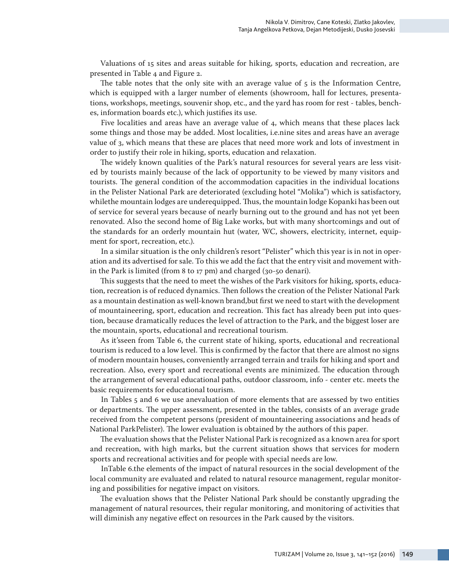Valuations of 15 sites and areas suitable for hiking, sports, education and recreation, are presented in Table 4 and Figure 2.

The table notes that the only site with an average value of  $5$  is the Information Centre, which is equipped with a larger number of elements (showroom, hall for lectures, presentations, workshops, meetings, souvenir shop, etc., and the yard has room for rest - tables, benches, information boards etc.), which justifies its use.

Five localities and areas have an average value of 4, which means that these places lack some things and those may be added. Most localities, i.e.nine sites and areas have an average value of 3, which means that these are places that need more work and lots of investment in order to justify their role in hiking, sports, education and relaxation.

The widely known qualities of the Park's natural resources for several years are less visited by tourists mainly because of the lack of opportunity to be viewed by many visitors and tourists. The general condition of the accommodation capacities in the individual locations in the Pelister National Park are deteriorated (excluding hotel "Molika") which is satisfactory, whilethe mountain lodges are underequipped. Thus, the mountain lodge Kopanki has been out of service for several years because of nearly burning out to the ground and has not yet been renovated. Also the second home of Big Lake works, but with many shortcomings and out of the standards for an orderly mountain hut (water, WC, showers, electricity, internet, equipment for sport, recreation, etc.).

In a similar situation is the only children's resort "Pelister" which this year is in not in operation and its advertised for sale. To this we add the fact that the entry visit and movement within the Park is limited (from 8 to 17 pm) and charged (30-50 denari).

This suggests that the need to meet the wishes of the Park visitors for hiking, sports, education, recreation is of reduced dynamics. Then follows the creation of the Pelister National Park as a mountain destination as well-known brand,but first we need to start with the development of mountaineering, sport, education and recreation. This fact has already been put into question, because dramatically reduces the level of attraction to the Park, and the biggest loser are the mountain, sports, educational and recreational tourism.

As it'sseen from Table 6, the current state of hiking, sports, educational and recreational tourism is reduced to a low level. This is confirmed by the factor that there are almost no signs of modern mountain houses, conveniently arranged terrain and trails for hiking and sport and recreation. Also, every sport and recreational events are minimized. The education through the arrangement of several educational paths, outdoor classroom, info - center etc. meets the basic requirements for educational tourism.

In Tables 5 and 6 we use anevaluation of more elements that are assessed by two entities or departments. The upper assessment, presented in the tables, consists of an average grade received from the competent persons (president of mountaineering associations and heads of National ParkPelister). The lower evaluation is obtained by the authors of this paper.

The evaluation shows that the Pelister National Park is recognized as a known area for sport and recreation, with high marks, but the current situation shows that services for modern sports and recreational activities and for people with special needs are low.

InTable 6.the elements of the impact of natural resources in the social development of the local community are evaluated and related to natural resource management, regular monitoring and possibilities for negative impact on visitors.

The evaluation shows that the Pelister National Park should be constantly upgrading the management of natural resources, their regular monitoring, and monitoring of activities that will diminish any negative effect on resources in the Park caused by the visitors.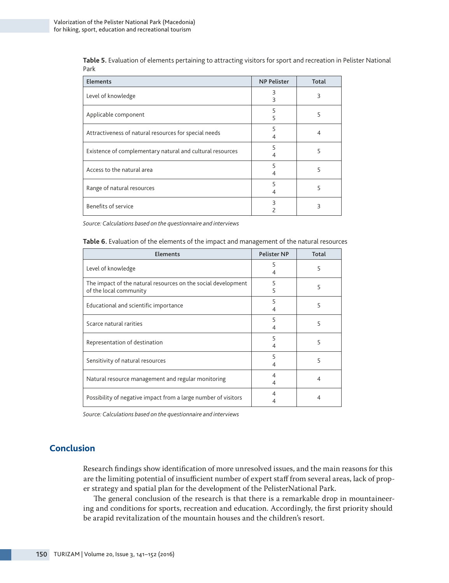**Table 5.** Evaluation of elements pertaining to attracting visitors for sport and recreation in Pelister National Park

| Elements                                                  | <b>NP Pelister</b> | Total |
|-----------------------------------------------------------|--------------------|-------|
| Level of knowledge                                        | Β<br>Β             | 3     |
| Applicable component                                      | 5<br>5             | 5     |
| Attractiveness of natural resources for special needs     | 5                  |       |
| Existence of complementary natural and cultural resources | 5                  | 5     |
| Access to the natural area                                | 5                  | 5     |
| Range of natural resources                                | 5                  |       |
| Benefits of service                                       | 3                  | ς     |

*Source: Calculations based on the questionnaire and interviews*

**Table 6.** Evaluation of the elements of the impact and management of the natural resources

| <b>Elements</b>                                                                         | <b>Pelister NP</b> | Total |
|-----------------------------------------------------------------------------------------|--------------------|-------|
| Level of knowledge                                                                      | 5                  | 5     |
| The impact of the natural resources on the social development<br>of the local community | 5<br>5             | 5     |
| Educational and scientific importance                                                   | 5                  | 5     |
| Scarce natural rarities                                                                 | 5                  | 5     |
| Representation of destination                                                           | 5                  | 5     |
| Sensitivity of natural resources                                                        | 5                  | 5     |
| Natural resource management and regular monitoring                                      |                    | 4     |
| Possibility of negative impact from a large number of visitors                          |                    | 4     |

*Source: Calculations based on the questionnaire and interviews*

# **Conclusion**

Research findings show identification of more unresolved issues, and the main reasons for this are the limiting potential of insufficient number of expert staff from several areas, lack of proper strategy and spatial plan for the development of the PelisterNational Park.

The general conclusion of the research is that there is a remarkable drop in mountaineering and conditions for sports, recreation and education. Accordingly, the first priority should be arapid revitalization of the mountain houses and the children's resort.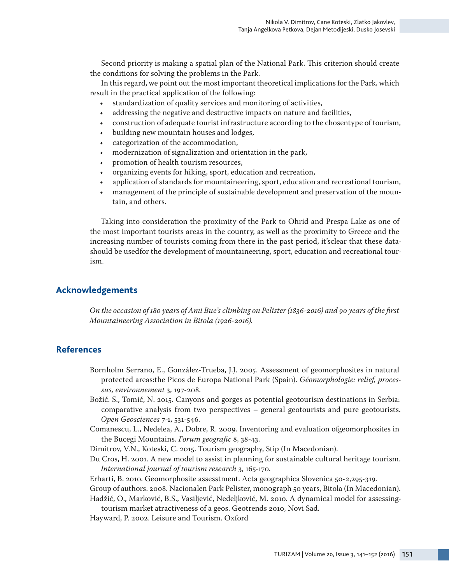Second priority is making a spatial plan of the National Park. This criterion should create the conditions for solving the problems in the Park.

In this regard, we point out the most important theoretical implications for the Park, which result in the practical application of the following:

- standardization of quality services and monitoring of activities,
- addressing the negative and destructive impacts on nature and facilities,
- construction of adequate tourist infrastructure according to the chosentype of tourism,
- building new mountain houses and lodges,
- categorization of the accommodation,
- modernization of signalization and orientation in the park,
- promotion of health tourism resources,
- organizing events for hiking, sport, education and recreation,
- application of standards for mountaineering, sport, education and recreational tourism,
- management of the principle of sustainable development and preservation of the mountain, and others.

Taking into consideration the proximity of the Park to Ohrid and Prespa Lake as one of the most important tourists areas in the country, as well as the proximity to Greece and the increasing number of tourists coming from there in the past period, it'sclear that these datashould be usedfor the development of mountaineering, sport, education and recreational tourism.

# **Acknowledgements**

*On the occasion of 180 years of Ami Bue's climbing on Pelister (1836-2016) and 90 years of the first Mountaineering Association in Bitola (1926-2016).*

## **References**

- Bornholm Serrano, E., González-Trueba, J.J. 2005. Assessment of geomorphosites in natural protected areas:the Picos de Europa National Park (Spain). *Géomorphologie: relief, processus, environnement* 3, 197-208.
- Božić. S., Tomić, N. 2015. Canyons and gorges as potential geotourism destinations in Serbia: comparative analysis from two perspectives – general geotourists and pure geotourists. *Open Geosciences* 7-1, 531-546.
- Comanescu, L., Nedelea, A., Dobre, R. 2009. Inventoring and evaluation ofgeomorphosites in the Bucegi Mountains. *Forum geografic* 8, 38-43.
- Dimitrov, V.N., Koteski, C. 2015. Tourism geography, Stip (In Macedonian).
- Du Cros, H. 2001. A new model to assist in planning for sustainable cultural heritage tourism. *International journal of tourism research* 3, 165-170.

Erharti, B. 2010. Geomorphosite assesstment. Acta geographica Slovenica 50-2,295-319.

Group of authors. 2008. Nacionalen Park Pelister, monograph 50 years, Bitola (In Macedonian).

Hadžić, O., Marković, B.S., Vasiljević, Nedeljković, M. 2010. A dynamical model for assessingtourism market atractiveness of a geos. Geotrends 2010, Novi Sad.

Hayward, P. 2002. Leisure and Tourism. Oxford